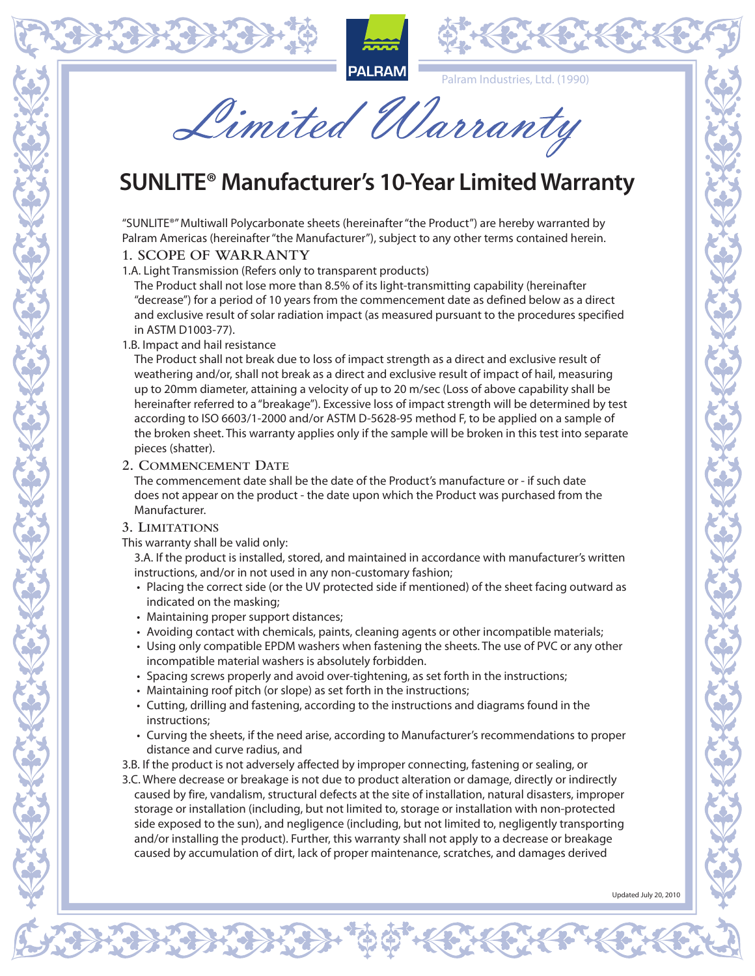





Palram Industries, Ltd. (1990)

Limited Warranty

# **SUNLITE® Manufacturer's 10-Year Limited Warranty**

"SUNLITE®" Multiwall Polycarbonate sheets (hereinafter "the Product") are hereby warranted by Palram Americas (hereinafter "the Manufacturer"), subject to any other terms contained herein.

#### **1. SCOPE OF WARRANTY**

1.A. Light Transmission (Refers only to transparent products)

The Product shall not lose more than 8.5% of its light-transmitting capability (hereinafter "decrease") for a period of 10 years from the commencement date as defined below as a direct and exclusive result of solar radiation impact (as measured pursuant to the procedures specified in ASTM D1003-77).

### 1.B. Impact and hail resistance

The Product shall not break due to loss of impact strength as a direct and exclusive result of weathering and/or, shall not break as a direct and exclusive result of impact of hail, measuring up to 20mm diameter, attaining a velocity of up to 20 m/sec (Loss of above capability shall be hereinafter referred to a "breakage"). Excessive loss of impact strength will be determined by test according to ISO 6603/1-2000 and/or ASTM D-5628-95 method F, to be applied on a sample of the broken sheet. This warranty applies only if the sample will be broken in this test into separate pieces (shatter).

### **2. Commencement Date**

The commencement date shall be the date of the Product's manufacture or - if such date does not appear on the product - the date upon which the Product was purchased from the Manufacturer.

# **3. Limitations**

This warranty shall be valid only:

3.A. If the product is installed, stored, and maintained in accordance with manufacturer's written instructions, and/or in not used in any non-customary fashion;

- Placing the correct side (or the UV protected side if mentioned) of the sheet facing outward as indicated on the masking;
- Maintaining proper support distances;
- Avoiding contact with chemicals, paints, cleaning agents or other incompatible materials;
- Using only compatible EPDM washers when fastening the sheets. The use of PVC or any other incompatible material washers is absolutely forbidden.
- Spacing screws properly and avoid over-tightening, as set forth in the instructions;
- Maintaining roof pitch (or slope) as set forth in the instructions;
- Cutting, drilling and fastening, according to the instructions and diagrams found in the instructions;
- Curving the sheets, if the need arise, according to Manufacturer's recommendations to proper distance and curve radius, and

3.B. If the product is not adversely affected by improper connecting, fastening or sealing, or

3.C. Where decrease or breakage is not due to product alteration or damage, directly or indirectly caused by fire, vandalism, structural defects at the site of installation, natural disasters, improper storage or installation (including, but not limited to, storage or installation with non-protected side exposed to the sun), and negligence (including, but not limited to, negligently transporting and/or installing the product). Further, this warranty shall not apply to a decrease or breakage caused by accumulation of dirt, lack of proper maintenance, scratches, and damages derived